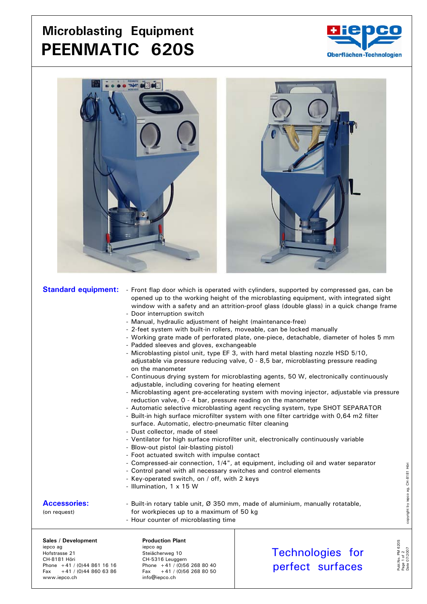## **Microblasting Equipment PEENMATIC 620S**





|                                                                                                | <b>Standard equipment:</b> - Front flap door which is operated with cylinders, supported by compressed gas, can be<br>opened up to the working height of the microblasting equipment, with integrated sight<br>window with a safety and an attrition-proof glass (double glass) in a quick change frame<br>- Door interruption switch<br>- Manual, hydraulic adjustment of height (maintenance-free)<br>- 2-feet system with built-in rollers, moveable, can be locked manually<br>- Working grate made of perforated plate, one-piece, detachable, diameter of holes 5 mm<br>- Padded sleeves and gloves, exchangeable<br>- Microblasting pistol unit, type EF 3, with hard metal blasting nozzle HSD 5/10,<br>adjustable via pressure reducing valve, 0 - 8,5 bar, microblasting pressure reading<br>on the manometer<br>- Continuous drying system for microblasting agents, 50 W, electronically continuously<br>adjustable, including covering for heating element<br>- Microblasting agent pre-accelerating system with moving injector, adjustable via pressure<br>reduction valve, 0 - 4 bar, pressure reading on the manometer<br>- Automatic selective microblasting agent recycling system, type SHOT SEPARATOR<br>- Built-in high surface microfilter system with one filter cartridge with 0,64 m2 filter<br>surface. Automatic, electro-pneumatic filter cleaning<br>- Dust collector, made of steel<br>- Ventilator for high surface microfilter unit, electronically continuously variable<br>- Blow-out pistol (air-blasting pistol)<br>- Foot actuated switch with impulse contact<br>- Compressed-air connection, 1/4", at equipment, including oil and water separator<br>- Control panel with all necessary switches and control elements<br>- Key-operated switch, on / off, with 2 keys<br>- Illumination, 1 x 15 W |                                             |                |
|------------------------------------------------------------------------------------------------|--------------------------------------------------------------------------------------------------------------------------------------------------------------------------------------------------------------------------------------------------------------------------------------------------------------------------------------------------------------------------------------------------------------------------------------------------------------------------------------------------------------------------------------------------------------------------------------------------------------------------------------------------------------------------------------------------------------------------------------------------------------------------------------------------------------------------------------------------------------------------------------------------------------------------------------------------------------------------------------------------------------------------------------------------------------------------------------------------------------------------------------------------------------------------------------------------------------------------------------------------------------------------------------------------------------------------------------------------------------------------------------------------------------------------------------------------------------------------------------------------------------------------------------------------------------------------------------------------------------------------------------------------------------------------------------------------------------------------------------------------------------------------------------------------------------------------------------------|---------------------------------------------|----------------|
| <b>Accessories:</b><br>(on request)                                                            | - Built-in rotary table unit, Ø 350 mm, made of aluminium, manually rotatable,<br>for workpieces up to a maximum of 50 kg<br>- Hour counter of microblasting time                                                                                                                                                                                                                                                                                                                                                                                                                                                                                                                                                                                                                                                                                                                                                                                                                                                                                                                                                                                                                                                                                                                                                                                                                                                                                                                                                                                                                                                                                                                                                                                                                                                                          |                                             |                |
| Sales / Development<br>iepco ag<br>Hofstrasse 21<br>CH-8181 Höri<br>Phone $+41 / (0)448611616$ | <b>Production Plant</b><br>iepco ag<br>Steiächerweg 10<br>CH-5316 Leuggern<br>Phone $+41$ / (0)56 268 80 40                                                                                                                                                                                                                                                                                                                                                                                                                                                                                                                                                                                                                                                                                                                                                                                                                                                                                                                                                                                                                                                                                                                                                                                                                                                                                                                                                                                                                                                                                                                                                                                                                                                                                                                                | <b>Technologies for</b><br>nerfect surfaces | <b>PM 620S</b> |

Phone +41 / (0)44 861 16 16 Phone +41 / (0)56 268 80 40 Fax +41 / (0)44 860 63 86 Fax +41 / (0)56 268 80 50

www.iepco.ch info@iepco.ch info@iepco.ch

copyright by iepco ag, CH-8181 Höri Date 07/2007 copyright by iepco ag, CH-8181 Höri

Publ.No. PM 620S Page 1 of 2

Publ.No. PM 620S<br>Page 1 of 2<br>Date 07/2007

perfect surfaces